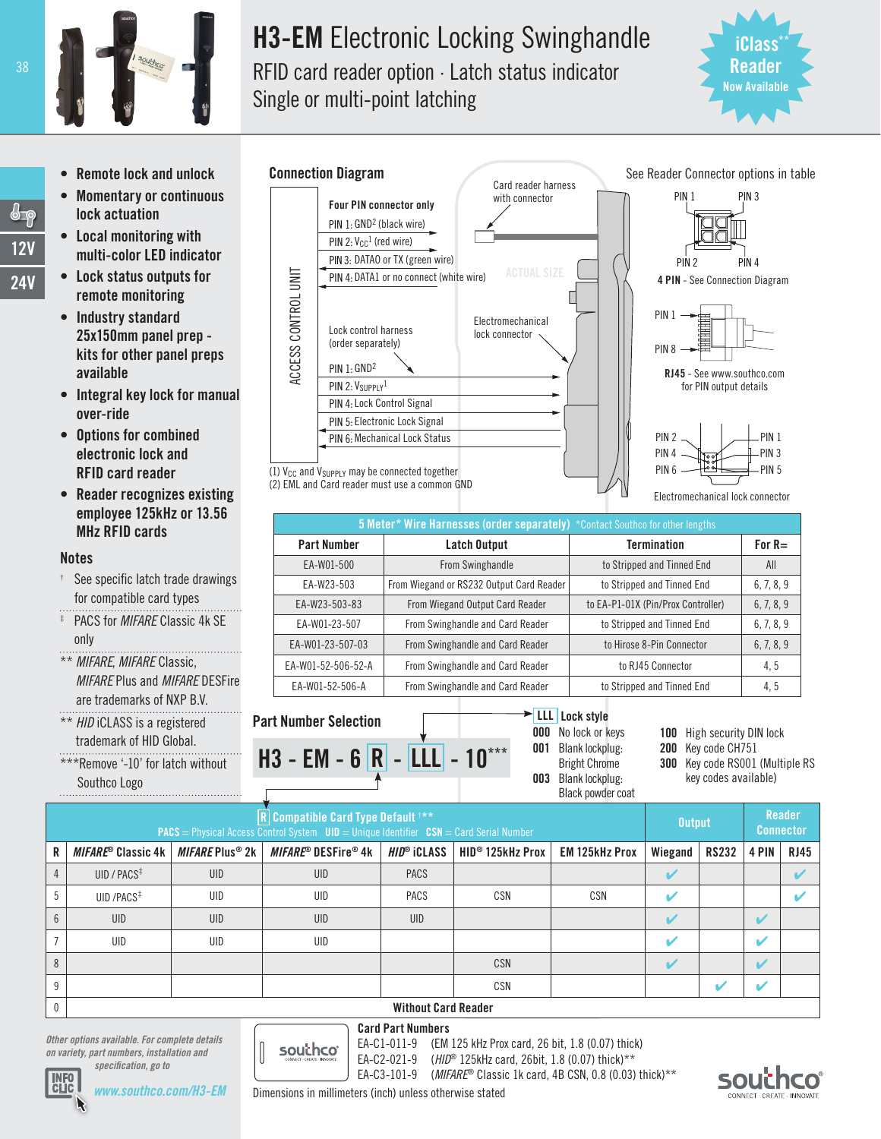

# H3-EM Electronic Locking Swinghandle RFID card reader option · Latch status indicator

Single or multi-point latching



PIN 3

- **Remote lock and unlock**
- • Momentary or continuous lock actuation
- Local monitoring with multi-color LED indicator
- • Lock status outputs for remote monitoring
- Industry standard 25x150mm panel prep kits for other panel preps available
- Integral key lock for manual over-ride
- • Options for combined electronic lock and RFID card reader
- Reader recognizes existing employee 125kHz or 13.56 MHz RFID cards

# Notes

- See specific latch trade drawings for compatible card types
- PACS for *MIFARE* Classic 4k SE only
- \*\* *MIFARE*, *MIFARE* Classic, *MIFARE* Plus and *MIFARE* DESFire are trademarks of NXP B.V.
- \*\* *HID* iCLASS is a registered trademark of HID Global.

*specification, go to*

\*\*\*Remove '-10' for latch without Southco Logo



(2) EML and Card reader must use a common GND



PIN 1

5 Meter\* Wire Harnesses (order separately) \*Contact Southco for other lengths Part Number Latch Output Termination For R= EA-W01-500 **From Swinghandle** to Stripped and Tinned End **All** EA-W23-503 From Wiegand or RS232 Output Card Reader to Stripped and Tinned End 6, 7, 8, 9 EA-W23-503-83 | From Wiegand Output Card Reader | to EA-P1-01X (Pin/Prox Controller) | 6, 7, 8, 9 EA-W01-23-507 From Swinghandle and Card Reader to Stripped and Tinned End 6, 7, 8, 9 EA-W01-23-507-03 From Swinghandle and Card Reader to Hirose 8-Pin Connector 6, 7, 8, 9 EA-W01-52-506-52-A From Swinghandle and Card Reader to RJ45 Connector 4, 5 EA-W01-52-506-A From Swinghandle and Card Reader to Stripped and Tinned End 4, 5

# Part Number Selection



LLL Lock style

001 Blank lockplug:

100 High security DIN lock

- 200 Key code CH751
- 300 Key code RS001 (Multiple RS key codes available)

| <b>OVALIDO LUNU</b><br>Black powder coat                                                                                                |                                    |                                   |                            |                                         |                              |                       |               |              |                            |             |
|-----------------------------------------------------------------------------------------------------------------------------------------|------------------------------------|-----------------------------------|----------------------------|-----------------------------------------|------------------------------|-----------------------|---------------|--------------|----------------------------|-------------|
| R Compatible Card Type Default ***<br><b>PACS</b> = Physical Access Control System $UID = Unique$ Identifier $CSN = Card$ Serial Number |                                    |                                   |                            |                                         |                              |                       | <b>Output</b> |              | Reader<br><b>Connector</b> |             |
| R                                                                                                                                       | $MIFARE^{\circledcirc}$ Classic 4k | <b>MIFARE Plus<sup>®</sup> 2k</b> | <i>MIFARE®</i> DESFire® 4k | $HID^{\circledcirc}$ iclass $\parallel$ | HID <sup>®</sup> 125kHz Prox | <b>EM 125kHz Prox</b> | Wiegand       | <b>RS232</b> | 4 PIN                      | <b>RJ45</b> |
|                                                                                                                                         | UID / $PACS^{\ddagger}$            | <b>UID</b>                        | UID                        | <b>PACS</b>                             |                              |                       |               |              |                            |             |
|                                                                                                                                         | UID / $PACS$ <sup>#</sup>          | UID                               | UID                        | <b>PACS</b>                             | CSN                          | CSN                   |               |              |                            |             |
|                                                                                                                                         | <b>UID</b>                         | <b>UID</b>                        | UID                        | <b>UID</b>                              |                              |                       |               |              |                            |             |
|                                                                                                                                         | UID                                | UID                               | UID                        |                                         |                              |                       |               |              |                            |             |
|                                                                                                                                         |                                    |                                   |                            |                                         | CSN                          |                       |               |              |                            |             |
|                                                                                                                                         |                                    |                                   |                            |                                         | CSN                          |                       |               |              |                            |             |
| $\cap$                                                                                                                                  | Without Card Dooder                |                                   |                            |                                         |                              |                       |               |              |                            |             |

# 0 Without Card Reader

*Other options available. For complete details*  southco *on variety, part numbers, installation and* 

Card Part Numbers EA-C1-011-9 (EM 125 kHz Prox card, 26 bit, 1.8 (0.07) thick) EA-C2-021-9 (*HID*® 125kHz card, 26bit, 1.8 (0.07) thick)\*\*

EA-C3-101-9 (*MIFARE*® Classic 1k card, 4B CSN, 0.8 (0.03) thick)\*\*



38

 $\overline{\mathbb{G}_{\mathbb{P}}}$ 12V 24V



Dimensions in millimeters (inch) unless otherwise stated

**000** No lock or keys

Bright Chrome 003 Blank lockplug: